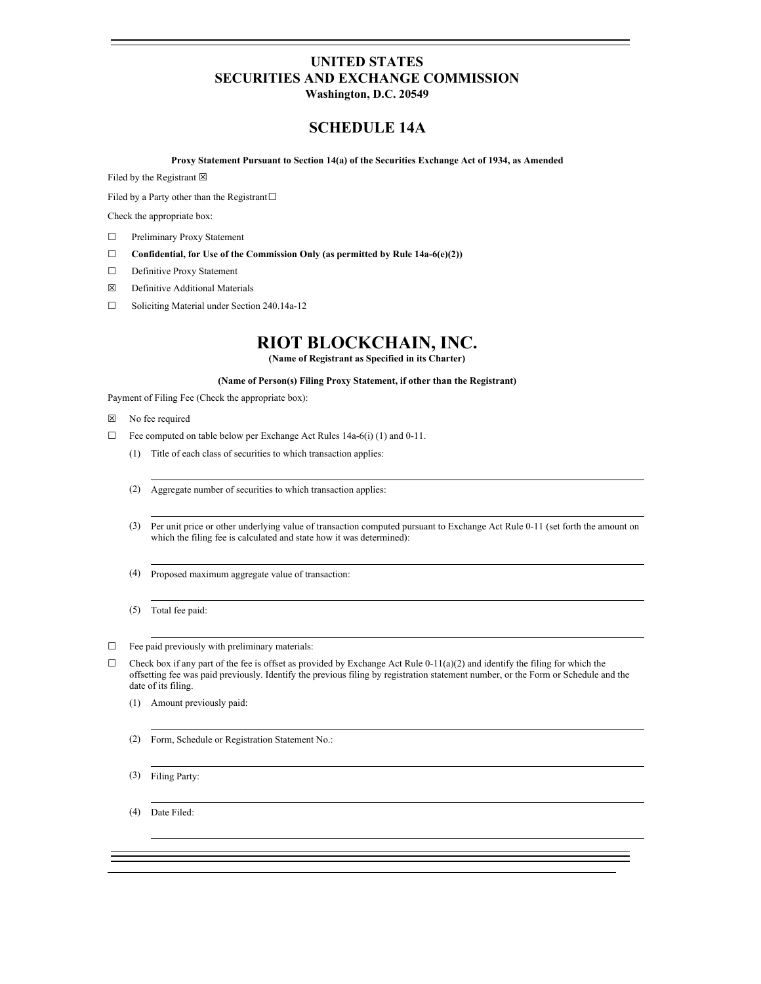# **UNITED STATES SECURITIES AND EXCHANGE COMMISSION**

**Washington, D.C. 20549**

### **SCHEDULE 14A**

**Proxy Statement Pursuant to Section 14(a) of the Securities Exchange Act of 1934, as Amended**

Filed by the Registrant  $\boxtimes$ 

Filed by a Party other than the Registrant□

Check the appropriate box:

- ☐ Preliminary Proxy Statement
- ☐ **Confidential, for Use of the Commission Only (as permitted by Rule 14a-6(e)(2))**
- □ Definitive Proxy Statement
- ☒ Definitive Additional Materials
- ☐ Soliciting Material under Section 240.14a-12

## **RIOT BLOCKCHAIN, INC.**

**(Name of Registrant as Specified in its Charter)**

#### **(Name of Person(s) Filing Proxy Statement, if other than the Registrant)**

Payment of Filing Fee (Check the appropriate box):

- ☒ No fee required
- ☐ Fee computed on table below per Exchange Act Rules 14a-6(i) (1) and 0-11.
	- (1) Title of each class of securities to which transaction applies:
	- (2) Aggregate number of securities to which transaction applies:
	- (3) Per unit price or other underlying value of transaction computed pursuant to Exchange Act Rule 0-11 (set forth the amount on which the filing fee is calculated and state how it was determined):
	- (4) Proposed maximum aggregate value of transaction:
	- (5) Total fee paid:
- $\Box$  Fee paid previously with preliminary materials:
- $\Box$  Check box if any part of the fee is offset as provided by Exchange Act Rule 0-11(a)(2) and identify the filing for which the offsetting fee was paid previously. Identify the previous filing by registration statement number, or the Form or Schedule and the date of its filing.
	- (1) Amount previously paid:
	- (2) Form, Schedule or Registration Statement No.:
	- (3) Filing Party:

(4) Date Filed: